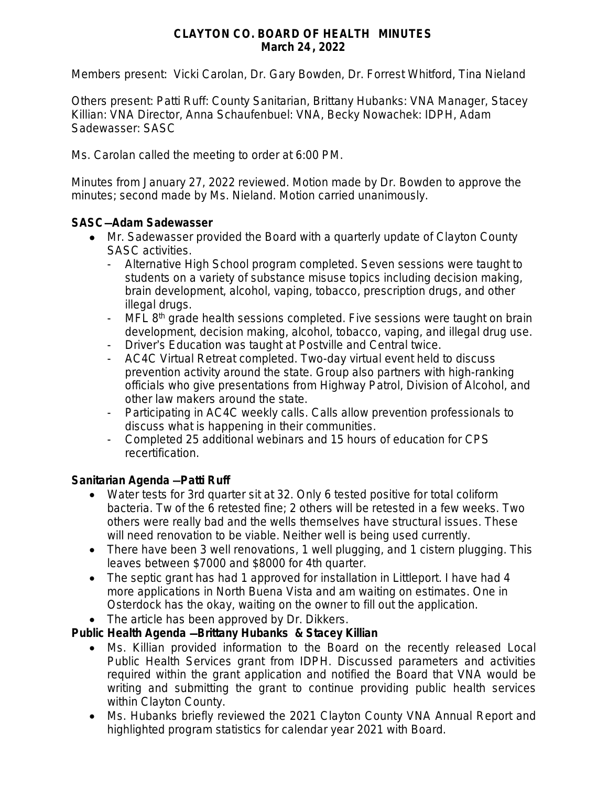## **CLAYTON CO. BOARD OF HEALTH MINUTES March 24, 2022**

Members present: Vicki Carolan, Dr. Gary Bowden, Dr. Forrest Whitford, Tina Nieland

Others present: Patti Ruff: County Sanitarian, Brittany Hubanks: VNA Manager, Stacey Killian: VNA Director, Anna Schaufenbuel: VNA, Becky Nowachek: IDPH, Adam Sadewasser: SASC

Ms. Carolan called the meeting to order at 6:00 PM.

Minutes from January 27, 2022 reviewed. Motion made by Dr. Bowden to approve the minutes; second made by Ms. Nieland. Motion carried unanimously.

## **SASC**—**Adam Sadewasser**

- Mr. Sadewasser provided the Board with a quarterly update of Clayton County SASC activities.
	- Alternative High School program completed. Seven sessions were taught to students on a variety of substance misuse topics including decision making, brain development, alcohol, vaping, tobacco, prescription drugs, and other illegal drugs.
	- MFL 8<sup>th</sup> grade health sessions completed. Five sessions were taught on brain development, decision making, alcohol, tobacco, vaping, and illegal drug use.
	- Driver's Education was taught at Postville and Central twice.
	- AC4C Virtual Retreat completed. Two-day virtual event held to discuss prevention activity around the state. Group also partners with high-ranking officials who give presentations from Highway Patrol, Division of Alcohol, and other law makers around the state.
	- Participating in AC4C weekly calls. Calls allow prevention professionals to discuss what is happening in their communities.
	- Completed 25 additional webinars and 15 hours of education for CPS recertification.

## **Sanitarian Agenda** —**Patti Ruff**

- Water tests for 3rd quarter sit at 32. Only 6 tested positive for total coliform bacteria. Tw of the 6 retested fine; 2 others will be retested in a few weeks. Two others were really bad and the wells themselves have structural issues. These will need renovation to be viable. Neither well is being used currently.
- There have been 3 well renovations, 1 well plugging, and 1 cistern plugging. This leaves between \$7000 and \$8000 for 4th quarter.
- The septic grant has had 1 approved for installation in Littleport. I have had 4 more applications in North Buena Vista and am waiting on estimates. One in Osterdock has the okay, waiting on the owner to fill out the application.
- The article has been approved by Dr. Dikkers.

## **Public Health Agenda** —**Brittany Hubanks & Stacey Killian**

- Ms. Killian provided information to the Board on the recently released Local Public Health Services grant from IDPH. Discussed parameters and activities required within the grant application and notified the Board that VNA would be writing and submitting the grant to continue providing public health services within Clayton County.
- Ms. Hubanks briefly reviewed the 2021 Clayton County VNA Annual Report and highlighted program statistics for calendar year 2021 with Board.